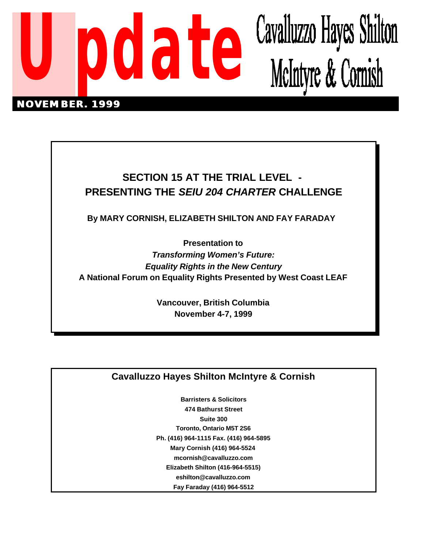

# **SECTION 15 AT THE TRIAL LEVEL - PRESENTING THE** *SEIU 204 CHARTER* **CHALLENGE**

**By MARY CORNISH, ELIZABETH SHILTON AND FAY FARADAY** 

**Presentation to** *Transforming Women's Future: Equality Rights in the New Century* **A National Forum on Equality Rights Presented by West Coast LEAF**

> **Vancouver, British Columbia November 4-7, 1999**

## **Cavalluzzo Hayes Shilton McIntyre & Cornish**

**Barristers & Solicitors 474 Bathurst Street Suite 300 Toronto, Ontario M5T 2S6 Ph. (416) 964-1115 Fax. (416) 964-5895 Mary Cornish (416) 964-5524 mcornish@cavalluzzo.com Elizabeth Shilton (416-964-5515) eshilton@cavalluzzo.com Fay Faraday (416) 964-5512**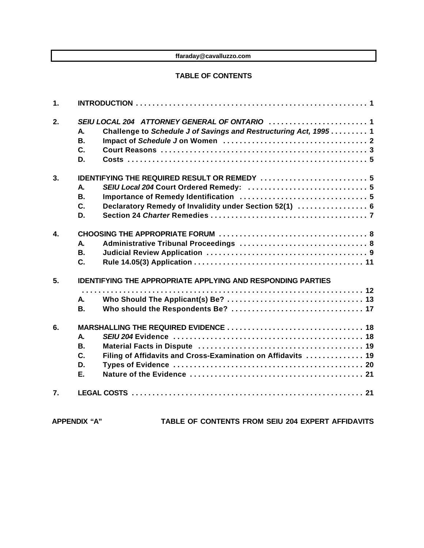#### **ffaraday@cavalluzzo.com**

#### **TABLE OF CONTENTS**

| 1.               |                                                                    |                                                                  |  |
|------------------|--------------------------------------------------------------------|------------------------------------------------------------------|--|
| 2.               |                                                                    |                                                                  |  |
|                  | А.                                                                 | Challenge to Schedule J of Savings and Restructuring Act, 1995 1 |  |
|                  | <b>B.</b>                                                          |                                                                  |  |
|                  | C.                                                                 |                                                                  |  |
|                  | D.                                                                 |                                                                  |  |
| 3.               | <b>IDENTIFYING THE REQUIRED RESULT OR REMEDY  5</b>                |                                                                  |  |
|                  | Α.                                                                 |                                                                  |  |
|                  | <b>B.</b>                                                          |                                                                  |  |
|                  | C.                                                                 | Declaratory Remedy of Invalidity under Section 52(1)  6          |  |
|                  | D.                                                                 |                                                                  |  |
| $\mathbf{4}$     |                                                                    |                                                                  |  |
|                  | <b>A</b> .                                                         |                                                                  |  |
|                  | <b>B.</b>                                                          |                                                                  |  |
|                  | $\mathbf{C}$ .                                                     |                                                                  |  |
| 5.               | <b>IDENTIFYING THE APPROPRIATE APPLYING AND RESPONDING PARTIES</b> |                                                                  |  |
|                  |                                                                    |                                                                  |  |
|                  | <b>A.</b>                                                          |                                                                  |  |
|                  | <b>B.</b>                                                          |                                                                  |  |
| 6.               |                                                                    |                                                                  |  |
|                  | A.                                                                 |                                                                  |  |
|                  | <b>B.</b>                                                          |                                                                  |  |
|                  | C.                                                                 | Filing of Affidavits and Cross-Examination on Affidavits  19     |  |
|                  | D.                                                                 |                                                                  |  |
|                  | Е.                                                                 |                                                                  |  |
| $\overline{7}$ . |                                                                    |                                                                  |  |

**APPENDIX "A" TABLE OF CONTENTS FROM SEIU 204 EXPERT AFFIDAVITS**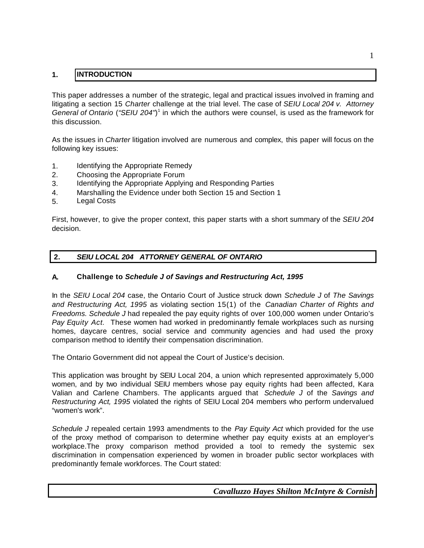### **1. INTRODUCTION**

This paper addresses a number of the strategic, legal and practical issues involved in framing and litigating a section 15 *Charter* challenge at the trial level. The case of *SEIU Local 204 v. Attorney General of Ontario* (*"SEIU 204"*) 1 in which the authors were counsel, is used as the framework for this discussion.

As the issues in *Charter* litigation involved are numerous and complex, this paper will focus on the following key issues:

- 1. Identifying the Appropriate Remedy
- 2. Choosing the Appropriate Forum
- 3. Identifying the Appropriate Applying and Responding Parties
- 4. Marshalling the Evidence under both Section 15 and Section 1
- 5. Legal Costs

First, however, to give the proper context, this paper starts with a short summary of the *SEIU 204* decision.

### **2.** *SEIU LOCAL 204 ATTORNEY GENERAL OF ONTARIO*

#### **A. Challenge to** *Schedule J of Savings and Restructuring Act, 1995*

In the *SEIU Local 204* case, the Ontario Court of Justice struck down *Schedule J* of *The Savings and Restructuring Act, 1995* as violating section 15(1) of the *Canadian Charter of Rights and Freedoms. Schedule J* had repealed the pay equity rights of over 100,000 women under Ontario's *Pay Equity Act.* These women had worked in predominantly female workplaces such as nursing homes, daycare centres, social service and community agencies and had used the proxy comparison method to identify their compensation discrimination.

The Ontario Government did not appeal the Court of Justice's decision.

This application was brought by SEIU Local 204, a union which represented approximately 5,000 women, and by two individual SEIU members whose pay equity rights had been affected, Kara Valian and Carlene Chambers. The applicants argued that *Schedule J* of the *Savings and Restructuring Act, 1995* violated the rights of SEIU Local 204 members who perform undervalued "women's work".

*Schedule J* repealed certain 1993 amendments to the *Pay Equity Act* which provided for the use of the proxy method of comparison to determine whether pay equity exists at an employer's workplace.The proxy comparison method provided a tool to remedy the systemic sex discrimination in compensation experienced by women in broader public sector workplaces with predominantly female workforces. The Court stated: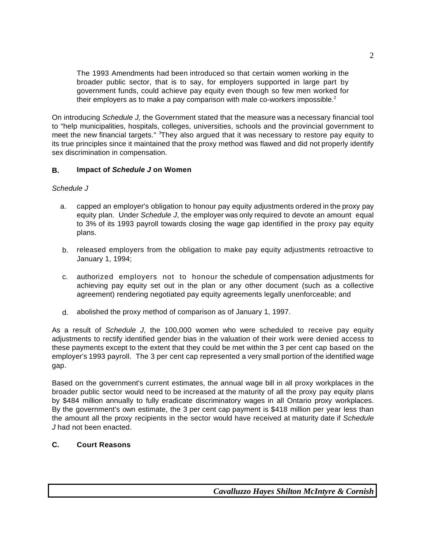The 1993 Amendments had been introduced so that certain women working in the broader public sector, that is to say, for employers supported in large part by government funds, could achieve pay equity even though so few men worked for their employers as to make a pay comparison with male co-workers impossible. $2$ 

On introducing *Schedule J,* the Government stated that the measure was a necessary financial tool to "help municipalities, hospitals, colleges, universities, schools and the provincial government to meet the new financial targets." <sup>3</sup>They also argued that it was necessary to restore pay equity to its true principles since it maintained that the proxy method was flawed and did not properly identify sex discrimination in compensation.

### **B. Impact of** *Schedule J* **on Women**

### *Schedule J*

- a. capped an employer's obligation to honour pay equity adjustments ordered in the proxy pay equity plan. Under *Schedule J*, the employer was only required to devote an amount equal to 3% of its 1993 payroll towards closing the wage gap identified in the proxy pay equity plans.
- b. released employers from the obligation to make pay equity adjustments retroactive to January 1, 1994;
- c. authorized employers not to honour the schedule of compensation adjustments for achieving pay equity set out in the plan or any other document (such as a collective agreement) rendering negotiated pay equity agreements legally unenforceable; and
- d. abolished the proxy method of comparison as of January 1, 1997.

As a result of *Schedule J*, the 100,000 women who were scheduled to receive pay equity adjustments to rectify identified gender bias in the valuation of their work were denied access to these payments except to the extent that they could be met within the 3 per cent cap based on the employer's 1993 payroll. The 3 per cent cap represented a very small portion of the identified wage gap.

Based on the government's current estimates, the annual wage bill in all proxy workplaces in the broader public sector would need to be increased at the maturity of all the proxy pay equity plans by \$484 million annually to fully eradicate discriminatory wages in all Ontario proxy workplaces. By the government's own estimate, the 3 per cent cap payment is \$418 million per year less than the amount all the proxy recipients in the sector would have received at maturity date if *Schedule J* had not been enacted.

### **C. Court Reasons**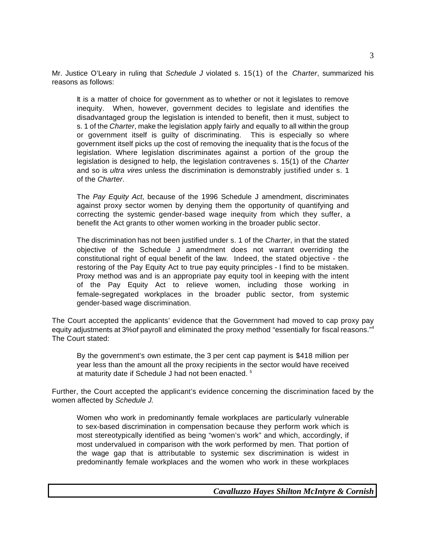Mr. Justice O'Leary in ruling that *Schedule J* violated s. 15(1) of the *Charter*, summarized his reasons as follows:

It is a matter of choice for government as to whether or not it legislates to remove inequity. When, however, government decides to legislate and identifies the disadvantaged group the legislation is intended to benefit, then it must, subject to s. 1 of the *Charter*, make the legislation apply fairly and equally to all within the group or government itself is guilty of discriminating. This is especially so where government itself picks up the cost of removing the inequality that is the focus of the legislation. Where legislation discriminates against a portion of the group the legislation is designed to help, the legislation contravenes s. 15(1) of the *Charter* and so is *ultra vires* unless the discrimination is demonstrably justified under s. 1 of the *Charter*.

The *Pay Equity Act*, because of the 1996 Schedule J amendment, discriminates against proxy sector women by denying them the opportunity of quantifying and correcting the systemic gender-based wage inequity from which they suffer, a benefit the Act grants to other women working in the broader public sector.

The discrimination has not been justified under s. 1 of the *Charter*, in that the stated objective of the Schedule J amendment does not warrant overriding the constitutional right of equal benefit of the law. Indeed, the stated objective - the restoring of the Pay Equity Act to true pay equity principles - I find to be mistaken. Proxy method was and is an appropriate pay equity tool in keeping with the intent of the Pay Equity Act to relieve women, including those working in female-segregated workplaces in the broader public sector, from systemic gender-based wage discrimination.

The Court accepted the applicants' evidence that the Government had moved to cap proxy pay equity adjustments at 3% of payroll and eliminated the proxy method "essentially for fiscal reasons."<sup>4</sup> The Court stated:

By the government's own estimate, the 3 per cent cap payment is \$418 million per year less than the amount all the proxy recipients in the sector would have received at maturity date if Schedule J had not been enacted.<sup>5</sup>

Further, the Court accepted the applicant's evidence concerning the discrimination faced by the women affected by *Schedule J.* 

Women who work in predominantly female workplaces are particularly vulnerable to sex-based discrimination in compensation because they perform work which is most stereotypically identified as being "women's work" and which, accordingly, if most undervalued in comparison with the work performed by men. That portion of the wage gap that is attributable to systemic sex discrimination is widest in predominantly female workplaces and the women who work in these workplaces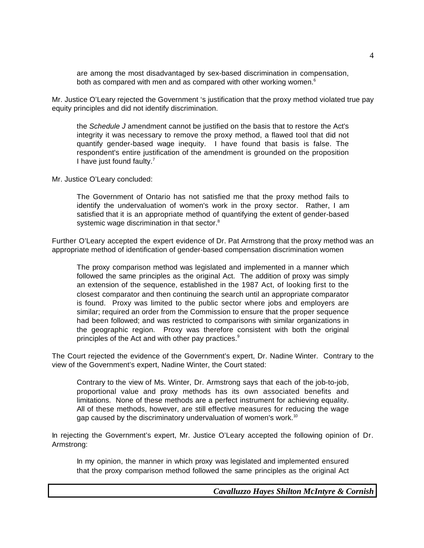are among the most disadvantaged by sex-based discrimination in compensation, both as compared with men and as compared with other working women.<sup>6</sup>

Mr. Justice O'Leary rejected the Government 's justification that the proxy method violated true pay equity principles and did not identify discrimination.

the *Schedule J* amendment cannot be justified on the basis that to restore the Act's integrity it was necessary to remove the proxy method, a flawed tool that did not quantify gender-based wage inequity. I have found that basis is false. The respondent's entire justification of the amendment is grounded on the proposition I have just found faulty.<sup>7</sup>

Mr. Justice O'Leary concluded:

The Government of Ontario has not satisfied me that the proxy method fails to identify the undervaluation of women's work in the proxy sector. Rather, I am satisfied that it is an appropriate method of quantifying the extent of gender-based systemic wage discrimination in that sector.<sup>8</sup>

Further O'Leary accepted the expert evidence of Dr. Pat Armstrong that the proxy method was an appropriate method of identification of gender-based compensation discrimination women

The proxy comparison method was legislated and implemented in a manner which followed the same principles as the original Act. The addition of proxy was simply an extension of the sequence, established in the 1987 Act, of looking first to the closest comparator and then continuing the search until an appropriate comparator is found. Proxy was limited to the public sector where jobs and employers are similar; required an order from the Commission to ensure that the proper sequence had been followed; and was restricted to comparisons with similar organizations in the geographic region. Proxy was therefore consistent with both the original principles of the Act and with other pay practices.<sup>9</sup>

The Court rejected the evidence of the Government's expert, Dr. Nadine Winter. Contrary to the view of the Government's expert, Nadine Winter, the Court stated:

Contrary to the view of Ms. Winter, Dr. Armstrong says that each of the job-to-job, proportional value and proxy methods has its own associated benefits and limitations. None of these methods are a perfect instrument for achieving equality. All of these methods, however, are still effective measures for reducing the wage gap caused by the discriminatory undervaluation of women's work.<sup>10</sup>

In rejecting the Government's expert, Mr. Justice O'Leary accepted the following opinion of Dr. Armstrong:

In my opinion, the manner in which proxy was legislated and implemented ensured that the proxy comparison method followed the same principles as the original Act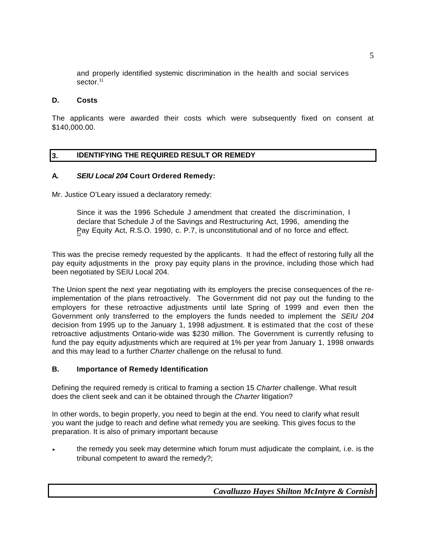and properly identified systemic discrimination in the health and social services sector.<sup>11</sup>

#### **D. Costs**

The applicants were awarded their costs which were subsequently fixed on consent at \$140,000.00.

#### **3. IDENTIFYING THE REQUIRED RESULT OR REMEDY**

#### **A.** *SEIU Local 204* **Court Ordered Remedy:**

Mr. Justice O'Leary issued a declaratory remedy:

Since it was the 1996 Schedule J amendment that created the discrimination, I declare that Schedule J of the Savings and Restructuring Act, 1996, amending the Pay Equity Act, R.S.O. 1990, c. P.7, is unconstitutional and of no force and effect.

This was the precise remedy requested by the applicants. It had the effect of restoring fully all the pay equity adjustments in the proxy pay equity plans in the province, including those which had been negotiated by SEIU Local 204.

The Union spent the next year negotiating with its employers the precise consequences of the reimplementation of the plans retroactively. The Government did not pay out the funding to the employers for these retroactive adjustments until late Spring of 1999 and even then the Government only transferred to the employers the funds needed to implement the *SEIU 204* decision from 1995 up to the January 1, 1998 adjustment. It is estimated that the cost of these retroactive adjustments Ontario-wide was \$230 million. The Government is currently refusing to fund the pay equity adjustments which are required at 1% per year from January 1, 1998 onwards and this may lead to a further *Charter* challenge on the refusal to fund.

#### **B. Importance of Remedy Identification**

Defining the required remedy is critical to framing a section 15 *Charter* challenge. What result does the client seek and can it be obtained through the *Charter* litigation?

In other words, to begin properly, you need to begin at the end. You need to clarify what result you want the judge to reach and define what remedy you are seeking. This gives focus to the preparation. It is also of primary important because

< the remedy you seek may determine which forum must adjudicate the complaint, i.e. is the tribunal competent to award the remedy?;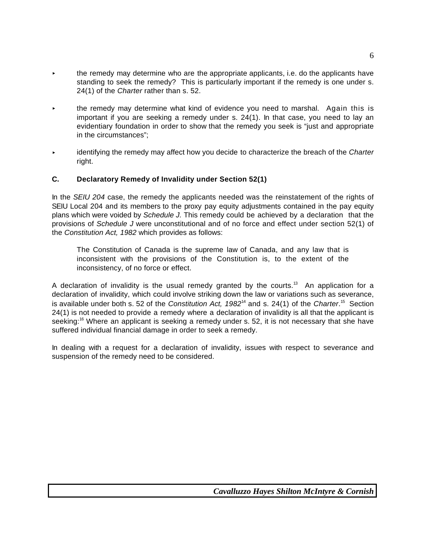- $\overline{\phantom{a}}$  the remedy may determine who are the appropriate applicants, i.e. do the applicants have standing to seek the remedy? This is particularly important if the remedy is one under s. 24(1) of the *Charter* rather than s. 52.
- the remedy may determine what kind of evidence you need to marshal. Again this is important if you are seeking a remedy under s. 24(1). In that case, you need to lay an evidentiary foundation in order to show that the remedy you seek is "just and appropriate in the circumstances";
- < identifying the remedy may affect how you decide to characterize the breach of the *Charter* right.

#### **C. Declaratory Remedy of Invalidity under Section 52(1)**

In the *SEIU 204* case, the remedy the applicants needed was the reinstatement of the rights of SEIU Local 204 and its members to the proxy pay equity adjustments contained in the pay equity plans which were voided by *Schedule J.* This remedy could be achieved by a declaration that the provisions of *Schedule J* were unconstitutional and of no force and effect under section 52(1) of the *Constitution Act, 1982* which provides as follows:

The Constitution of Canada is the supreme law of Canada, and any law that is inconsistent with the provisions of the Constitution is, to the extent of the inconsistency, of no force or effect.

A declaration of invalidity is the usual remedy granted by the courts.<sup>13</sup> An application for a declaration of invalidity, which could involve striking down the law or variations such as severance, is available under both s. 52 of the *Constitution Act, 1982*<sup>14</sup> and s. 24(1) of the *Charter*. <sup>15</sup> Section 24(1) is not needed to provide a remedy where a declaration of invalidity is all that the applicant is seeking:<sup>16</sup> Where an applicant is seeking a remedy under s. 52, it is not necessary that she have suffered individual financial damage in order to seek a remedy.

In dealing with a request for a declaration of invalidity, issues with respect to severance and suspension of the remedy need to be considered.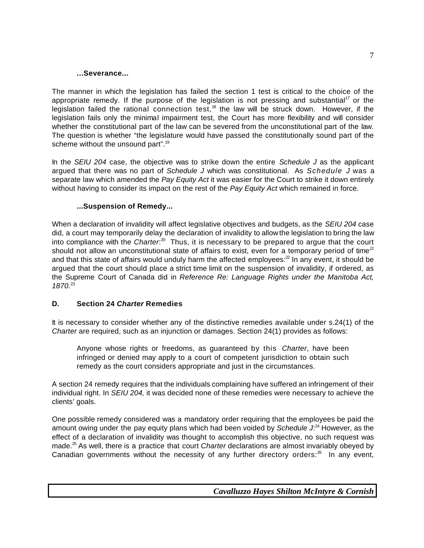#### **...Severance...**

The manner in which the legislation has failed the section 1 test is critical to the choice of the appropriate remedy. If the purpose of the legislation is not pressing and substantial*<sup>17</sup>* or the legislation failed the rational connection test,<sup>18</sup> the law will be struck down. However, if the legislation fails only the minimal impairment test, the Court has more flexibility and will consider whether the constitutional part of the law can be severed from the unconstitutional part of the law. The question is whether "the legislature would have passed the constitutionally sound part of the scheme without the unsound part".<sup>19</sup>

In the *SEIU 204* case, the objective was to strike down the entire *Schedule J* as the applicant argued that there was no part of *Schedule J* which was constitutional. As *Schedule J* was a separate law which amended the *Pay Equity Act* it was easier for the Court to strike it down entirely without having to consider its impact on the rest of the *Pay Equity Act* which remained in force.

#### **...Suspension of Remedy...**

When a declaration of invalidity will affect legislative objectives and budgets, as the *SEIU 204* case did, a court may temporarily delay the declaration of invalidity to allow the legislation to bring the law into compliance with the *Charter*.<sup>20</sup> Thus, it is necessary to be prepared to argue that the court should not allow an unconstitutional state of affairs to exist, even for a temporary period of time*<sup>21</sup>* and that this state of affairs would unduly harm the affected employees: $22$  In any event, it should be argued that the court should place a strict time limit on the suspension of invalidity, if ordered, as the Supreme Court of Canada did in *Reference Re: Language Rights under the Manitoba Act, 1870.*<sup>23</sup>

#### **D. Section 24** *Charter* **Remedies**

It is necessary to consider whether any of the distinctive remedies available under s.24(1) of the *Charter* are required, such as an injunction or damages. Section 24(1) provides as follows:

Anyone whose rights or freedoms, as guaranteed by this *Charter*, have been infringed or denied may apply to a court of competent jurisdiction to obtain such remedy as the court considers appropriate and just in the circumstances.

A section 24 remedy requires that the individuals complaining have suffered an infringement of their individual right. In *SEIU 204,* it was decided none of these remedies were necessary to achieve the clients' goals.

One possible remedy considered was a mandatory order requiring that the employees be paid the amount owing under the pay equity plans which had been voided by *Schedule J*: <sup>24</sup> However, as the effect of a declaration of invalidity was thought to accomplish this objective, no such request was made.<sup>25</sup> As well, there is a practice that court *Charter* declarations are almost invariably obeyed by Canadian governments without the necessity of any further directory orders: $^{26}$  In any event,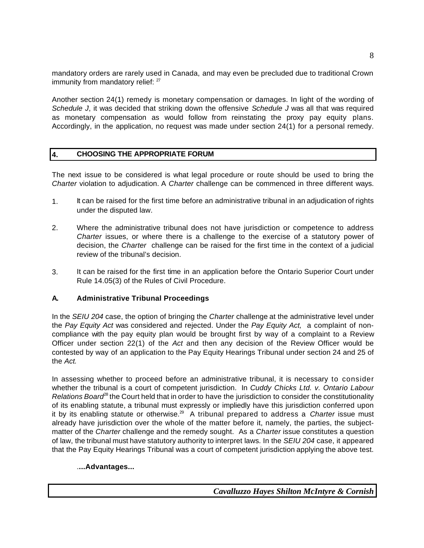mandatory orders are rarely used in Canada, and may even be precluded due to traditional Crown immunity from mandatory relief: <sup>27</sup>

Another section 24(1) remedy is monetary compensation or damages. In light of the wording of *Schedule J*, it was decided that striking down the offensive *Schedule J* was all that was required as monetary compensation as would follow from reinstating the proxy pay equity plans. Accordingly, in the application, no request was made under section 24(1) for a personal remedy.

### **4. CHOOSING THE APPROPRIATE FORUM**

The next issue to be considered is what legal procedure or route should be used to bring the *Charter* violation to adjudication. A *Charter* challenge can be commenced in three different ways.

- 1. It can be raised for the first time before an administrative tribunal in an adjudication of rights under the disputed law.
- 2. Where the administrative tribunal does not have jurisdiction or competence to address *Charter* issues, or where there is a challenge to the exercise of a statutory power of decision, the *Charter* challenge can be raised for the first time in the context of a judicial review of the tribunal's decision.
- 3. It can be raised for the first time in an application before the Ontario Superior Court under Rule 14.05(3) of the Rules of Civil Procedure.

### **A. Administrative Tribunal Proceedings**

In the *SEIU 204* case, the option of bringing the *Charter* challenge at the administrative level under the *Pay Equity Act* was considered and rejected. Under the *Pay Equity Act,* a complaint of noncompliance with the pay equity plan would be brought first by way of a complaint to a Review Officer under section 22(1) of the *Act* and then any decision of the Review Officer would be contested by way of an application to the Pay Equity Hearings Tribunal under section 24 and 25 of the *Act.*

In assessing whether to proceed before an administrative tribunal, it is necessary to consider whether the tribunal is a court of competent jurisdiction. In *Cuddy Chicks Ltd. v. Ontario Labour Relations Board*<sup>88</sup> the Court held that in order to have the jurisdiction to consider the constitutionality of its enabling statute, a tribunal must expressly or impliedly have this jurisdiction conferred upon it by its enabling statute or otherwise.<sup>29</sup> A tribunal prepared to address a *Charter* issue must already have jurisdiction over the whole of the matter before it, namely, the parties, the subjectmatter of the *Charter* challenge and the remedy sought. As a *Charter* issue constitutes a question of law, the tribunal must have statutory authority to interpret laws. In the *SEIU 204* case, it appeared that the Pay Equity Hearings Tribunal was a court of competent jurisdiction applying the above test.

### .**...Advantages...**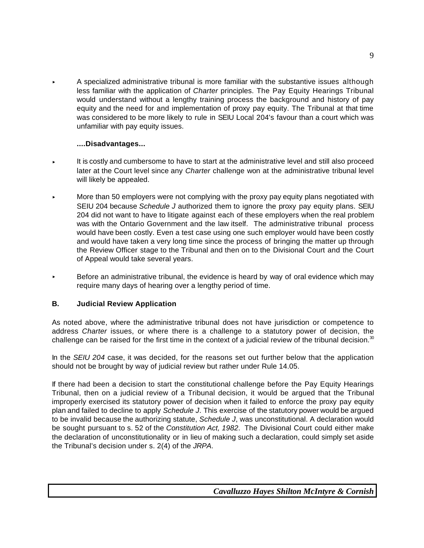< A specialized administrative tribunal is more familiar with the substantive issues although less familiar with the application of *Charter* principles. The Pay Equity Hearings Tribunal would understand without a lengthy training process the background and history of pay equity and the need for and implementation of proxy pay equity. The Tribunal at that time was considered to be more likely to rule in SEIU Local 204's favour than a court which was unfamiliar with pay equity issues.

#### **....Disadvantages...**

- < It is costly and cumbersome to have to start at the administrative level and still also proceed later at the Court level since any *Charter* challenge won at the administrative tribunal level will likely be appealed.
- < More than 50 employers were not complying with the proxy pay equity plans negotiated with SEIU 204 because *Schedule J* authorized them to ignore the proxy pay equity plans. SEIU 204 did not want to have to litigate against each of these employers when the real problem was with the Ontario Government and the law itself. The administrative tribunal process would have been costly. Even a test case using one such employer would have been costly and would have taken a very long time since the process of bringing the matter up through the Review Officer stage to the Tribunal and then on to the Divisional Court and the Court of Appeal would take several years.
- $\triangleright$  Before an administrative tribunal, the evidence is heard by way of oral evidence which may require many days of hearing over a lengthy period of time.

### **B. Judicial Review Application**

As noted above, where the administrative tribunal does not have jurisdiction or competence to address *Charter* issues, or where there is a challenge to a statutory power of decision, the challenge can be raised for the first time in the context of a judicial review of the tribunal decision.<sup>30</sup>

In the *SEIU 204* case, it was decided, for the reasons set out further below that the application should not be brought by way of judicial review but rather under Rule 14.05.

If there had been a decision to start the constitutional challenge before the Pay Equity Hearings Tribunal, then on a judicial review of a Tribunal decision, it would be argued that the Tribunal improperly exercised its statutory power of decision when it failed to enforce the proxy pay equity plan and failed to decline to apply *Schedule J*. This exercise of the statutory power would be argued to be invalid because the authorizing statute, *Schedule J*, was unconstitutional. A declaration would be sought pursuant to s. 52 of the *Constitution Act, 1982*. The Divisional Court could either make the declaration of unconstitutionality or in lieu of making such a declaration, could simply set aside the Tribunal's decision under s. 2(4) of the *JRPA*.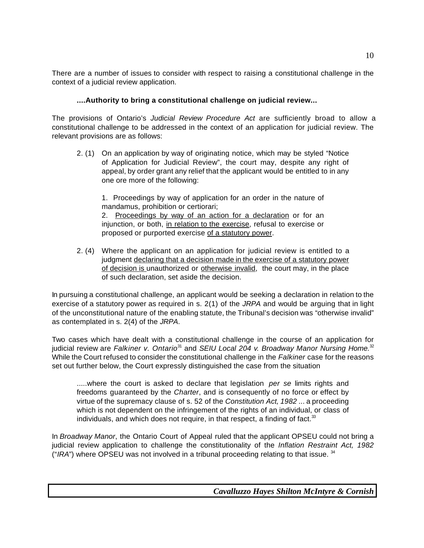There are a number of issues to consider with respect to raising a constitutional challenge in the context of a judicial review application.

### **....Authority to bring a constitutional challenge on judicial review...**

The provisions of Ontario's *Judicial Review Procedure Act* are sufficiently broad to allow a constitutional challenge to be addressed in the context of an application for judicial review. The relevant provisions are as follows:

2. (1) On an application by way of originating notice, which may be styled "Notice of Application for Judicial Review", the court may, despite any right of appeal, by order grant any relief that the applicant would be entitled to in any one ore more of the following:

1. Proceedings by way of application for an order in the nature of mandamus, prohibition or certiorari; 2. Proceedings by way of an action for a declaration or for an injunction, or both, in relation to the exercise, refusal to exercise or proposed or purported exercise of a statutory power.

2. (4) Where the applicant on an application for judicial review is entitled to a judgment declaring that a decision made in the exercise of a statutory power of decision is unauthorized or otherwise invalid, the court may, in the place of such declaration, set aside the decision.

In pursuing a constitutional challenge, an applicant would be seeking a declaration in relation to the exercise of a statutory power as required in s. 2(1) of the *JRPA* and would be arguing that in light of the unconstitutional nature of the enabling statute, the Tribunal's decision was "otherwise invalid" as contemplated in s. 2(4) of the *JRPA*.

Two cases which have dealt with a constitutional challenge in the course of an application for judicial review are *Falkiner v. Ontario*<sup>31</sup> and *SEIU Local 204 v. Broadway Manor Nursing Home.*<sup>32</sup> While the Court refused to consider the constitutional challenge in the *Falkiner* case for the reasons set out further below, the Court expressly distinguished the case from the situation

.....where the court is asked to declare that legislation *per se* limits rights and freedoms guaranteed by the *Charter*, and is consequently of no force or effect by virtue of the supremacy clause of s. 52 of the *Constitution Act, 1982* ... a proceeding which is not dependent on the infringement of the rights of an individual, or class of individuals, and which does not require, in that respect, a finding of fact. $33$ 

In *Broadway Manor*, the Ontario Court of Appeal ruled that the applicant OPSEU could not bring a judicial review application to challenge the constitutionality of the *Inflation Restraint Act, 1982* ("*IRA*") where OPSEU was not involved in a tribunal proceeding relating to that issue. 34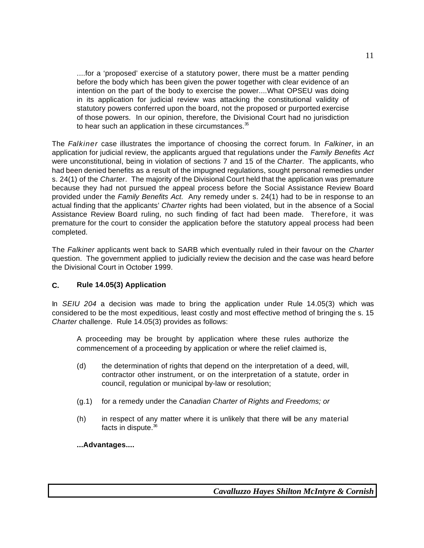....for a 'proposed' exercise of a statutory power, there must be a matter pending before the body which has been given the power together with clear evidence of an intention on the part of the body to exercise the power....What OPSEU was doing in its application for judicial review was attacking the constitutional validity of statutory powers conferred upon the board, not the proposed or purported exercise of those powers. In our opinion, therefore, the Divisional Court had no jurisdiction to hear such an application in these circumstances.<sup>35</sup>

The *Falkiner* case illustrates the importance of choosing the correct forum. In *Falkiner*, in an application for judicial review, the applicants argued that regulations under the *Family Benefits Act* were unconstitutional, being in violation of sections 7 and 15 of the *Charter*. The applicants, who had been denied benefits as a result of the impugned regulations, sought personal remedies under s. 24(1) of the *Charter*. The majority of the Divisional Court held that the application was premature because they had not pursued the appeal process before the Social Assistance Review Board provided under the *Family Benefits Act*. Any remedy under s. 24(1) had to be in response to an actual finding that the applicants' *Charter* rights had been violated, but in the absence of a Social Assistance Review Board ruling, no such finding of fact had been made. Therefore, it was premature for the court to consider the application before the statutory appeal process had been completed.

The *Falkiner* applicants went back to SARB which eventually ruled in their favour on the *Charter* question. The government applied to judicially review the decision and the case was heard before the Divisional Court in October 1999.

### **C. Rule 14.05(3) Application**

In *SEIU 204* a decision was made to bring the application under Rule 14.05(3) which was considered to be the most expeditious, least costly and most effective method of bringing the s. 15 *Charter* challenge. Rule 14.05(3) provides as follows:

A proceeding may be brought by application where these rules authorize the commencement of a proceeding by application or where the relief claimed is,

- (d) the determination of rights that depend on the interpretation of a deed, will, contractor other instrument, or on the interpretation of a statute, order in council, regulation or municipal by-law or resolution;
- (g.1) for a remedy under the *Canadian Charter of Rights and Freedoms; or*
- (h) in respect of any matter where it is unlikely that there will be any material facts in dispute.<sup>36</sup>

**...Advantages....**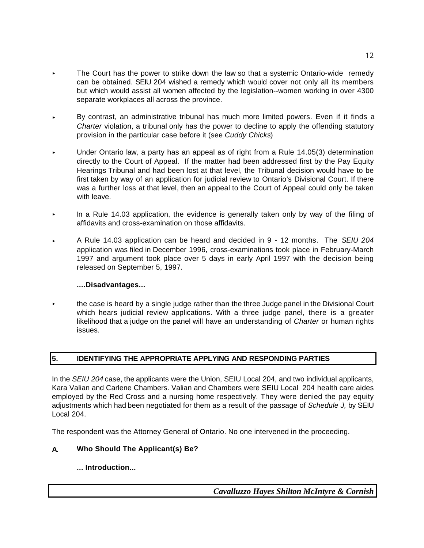- The Court has the power to strike down the law so that a systemic Ontario-wide remedy can be obtained. SEIU 204 wished a remedy which would cover not only all its members but which would assist all women affected by the legislation--women working in over 4300 separate workplaces all across the province.
- < By contrast, an administrative tribunal has much more limited powers. Even if it finds a *Charter* violation, a tribunal only has the power to decline to apply the offending statutory provision in the particular case before it (see *Cuddy Chicks*)
- < Under Ontario law, a party has an appeal as of right from a Rule 14.05(3) determination directly to the Court of Appeal. If the matter had been addressed first by the Pay Equity Hearings Tribunal and had been lost at that level, the Tribunal decision would have to be first taken by way of an application for judicial review to Ontario's Divisional Court. If there was a further loss at that level, then an appeal to the Court of Appeal could only be taken with leave.
- < In a Rule 14.03 application, the evidence is generally taken only by way of the filing of affidavits and cross-examination on those affidavits.
- < A Rule 14.03 application can be heard and decided in 9 12 months. The *SEIU 204* application was filed in December 1996, cross-examinations took place in February-March 1997 and argument took place over 5 days in early April 1997 with the decision being released on September 5, 1997.

### **....Disadvantages...**

**EXECT** the case is heard by a single judge rather than the three Judge panel in the Divisional Court which hears judicial review applications. With a three judge panel, there is a greater likelihood that a judge on the panel will have an understanding of *Charter* or human rights issues.

### **5. IDENTIFYING THE APPROPRIATE APPLYING AND RESPONDING PARTIES**

In the *SEIU 204* case, the applicants were the Union, SEIU Local 204, and two individual applicants, Kara Valian and Carlene Chambers. Valian and Chambers were SEIU Local 204 health care aides employed by the Red Cross and a nursing home respectively. They were denied the pay equity adjustments which had been negotiated for them as a result of the passage of *Schedule J,* by SEIU Local 204.

The respondent was the Attorney General of Ontario. No one intervened in the proceeding.

### **A. Who Should The Applicant(s) Be?**

**... Introduction...**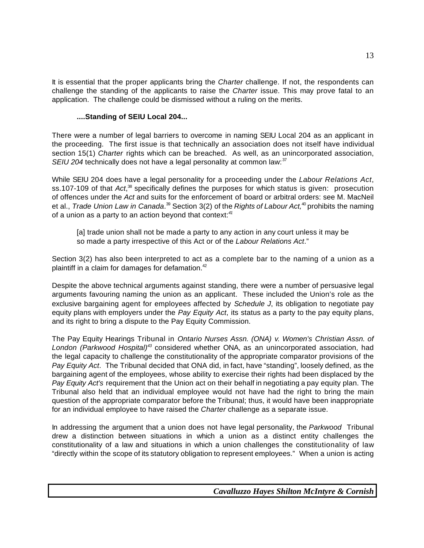It is essential that the proper applicants bring the *Charter* challenge. If not, the respondents can challenge the standing of the applicants to raise the *Charter* issue. This may prove fatal to an application. The challenge could be dismissed without a ruling on the merits.

#### **....Standing of SEIU Local 204...**

There were a number of legal barriers to overcome in naming SEIU Local 204 as an applicant in the proceeding. The first issue is that technically an association does not itself have individual section 15(1) *Charter* rights which can be breached. As well, as an unincorporated association, *SEIU 204* technically does not have a legal personality at common law:<sup>37</sup>

While SEIU 204 does have a legal personality for a proceeding under the *Labour Relations Act*, ss.107-109 of that Act,<sup>38</sup> specifically defines the purposes for which status is given: prosecution of offences under the *Act* and suits for the enforcement of board or arbitral orders: see M. MacNeil et al., *Trade Union Law in Canada*. <sup>39</sup> Section 3(2) of the *Rights of Labour Act,*<sup>40</sup> prohibits the naming of a union as a party to an action beyond that context:*<sup>41</sup>*

[a] trade union shall not be made a party to any action in any court unless it may be so made a party irrespective of this Act or of the *Labour Relations Act*."

Section 3(2) has also been interpreted to act as a complete bar to the naming of a union as a plaintiff in a claim for damages for defamation. $42$ 

Despite the above technical arguments against standing, there were a number of persuasive legal arguments favouring naming the union as an applicant. These included the Union's role as the exclusive bargaining agent for employees affected by *Schedule J*, its obligation to negotiate pay equity plans with employers under the *Pay Equity Act*, its status as a party to the pay equity plans, and its right to bring a dispute to the Pay Equity Commission.

The Pay Equity Hearings Tribunal in *Ontario Nurses Assn. (ONA) v. Women's Christian Assn. of London (Parkwood Hospital)<sup>43</sup>* considered whether ONA, as an unincorporated association, had the legal capacity to challenge the constitutionality of the appropriate comparator provisions of the *Pay Equity Act*. The Tribunal decided that ONA did, in fact, have "standing", loosely defined, as the bargaining agent of the employees, whose ability to exercise their rights had been displaced by the *Pay Equity Act's* requirement that the Union act on their behalf in negotiating a pay equity plan. The Tribunal also held that an individual employee would not have had the right to bring the main question of the appropriate comparator before the Tribunal; thus, it would have been inappropriate for an individual employee to have raised the *Charter* challenge as a separate issue.

In addressing the argument that a union does not have legal personality, the *Parkwood* Tribunal drew a distinction between situations in which a union as a distinct entity challenges the constitutionality of a law and situations in which a union challenges the constitutionality of law "directly within the scope of its statutory obligation to represent employees." When a union is acting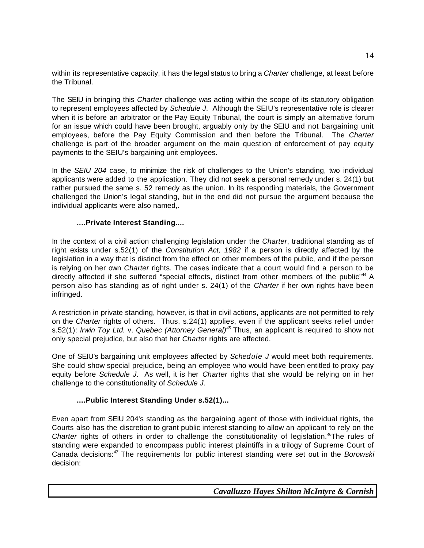within its representative capacity, it has the legal status to bring a *Charter* challenge, at least before the Tribunal.

The SEIU in bringing this *Charter* challenge was acting within the scope of its statutory obligation to represent employees affected by *Schedule J*. Although the SEIU's representative role is clearer when it is before an arbitrator or the Pay Equity Tribunal, the court is simply an alternative forum for an issue which could have been brought, arguably only by the SEIU and not bargaining unit employees, before the Pay Equity Commission and then before the Tribunal. The *Charter* challenge is part of the broader argument on the main question of enforcement of pay equity payments to the SEIU's bargaining unit employees.

In the *SEIU 204* case, to minimize the risk of challenges to the Union's standing, two individual applicants were added to the application. They did not seek a personal remedy under s. 24(1) but rather pursued the same s. 52 remedy as the union. In its responding materials, the Government challenged the Union's legal standing, but in the end did not pursue the argument because the individual applicants were also named,.

### **....Private Interest Standing....**

In the context of a civil action challenging legislation under the *Charter*, traditional standing as of right exists under s.52(1) of the *Constitution Act, 1982* if a person is directly affected by the legislation in a way that is distinct from the effect on other members of the public, and if the person is relying on her own *Charter* rights. The cases indicate that a court would find a person to be directly affected if she suffered "special effects, distinct from other members of the public"<sup>44</sup> A person also has standing as of right under s. 24(1) of the *Charter* if her own rights have been infringed.

A restriction in private standing, however, is that in civil actions, applicants are not permitted to rely on the *Charter* rights of others. Thus, s.24(1) applies, even if the applicant seeks relief under s.52(1): *Irwin Toy Ltd.* v. *Quebec (Attorney General)<sup>45</sup>* Thus, an applicant is required to show not only special prejudice, but also that her *Charter* rights are affected.

One of SEIU's bargaining unit employees affected by *Schedule J* would meet both requirements. She could show special prejudice, being an employee who would have been entitled to proxy pay equity before *Schedule J*. As well, it is her *Charter* rights that she would be relying on in her challenge to the constitutionality of *Schedule J*.

### **....Public Interest Standing Under s.52(1)...**

Even apart from SEIU 204's standing as the bargaining agent of those with individual rights, the Courts also has the discretion to grant public interest standing to allow an applicant to rely on the *Charter* rights of others in order to challenge the constitutionality of legislation.<sup>46</sup>The rules of standing were expanded to encompass public interest plaintiffs in a trilogy of Supreme Court of Canada decisions:*<sup>47</sup>* The requirements for public interest standing were set out in the *Borowski* decision: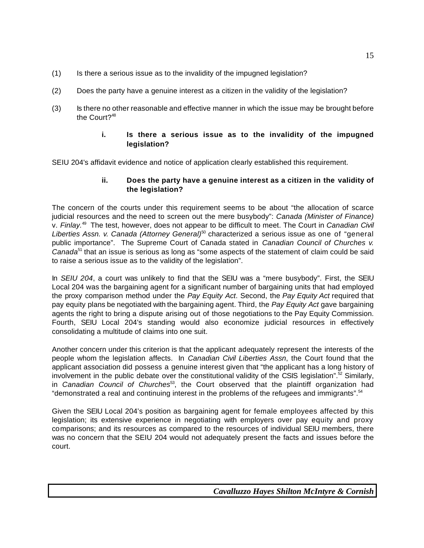- (1) Is there a serious issue as to the invalidity of the impugned legislation?
- (2) Does the party have a genuine interest as a citizen in the validity of the legislation?
- (3) Is there no other reasonable and effective manner in which the issue may be brought before the Court? $48$

### **i. Is there a serious issue as to the invalidity of the impugned legislation?**

SEIU 204's affidavit evidence and notice of application clearly established this requirement.

#### **ii. Does the party have a genuine interest as a citizen in the validity of the legislation?**

The concern of the courts under this requirement seems to be about "the allocation of scarce judicial resources and the need to screen out the mere busybody": *Canada (Minister of Finance)* v. *Finlay.*<sup>49</sup> The test, however, does not appear to be difficult to meet. The Court in *Canadian Civil Liberties Assn. v. Canada (Attorney General)*<sup>50</sup> characterized a serious issue as one of "general public importance". The Supreme Court of Canada stated in *Canadian Council of Churches v. Canada*<sup>51</sup> that an issue is serious as long as "some aspects of the statement of claim could be said to raise a serious issue as to the validity of the legislation".

In *SEIU 204*, a court was unlikely to find that the SEIU was a "mere busybody". First, the SEIU Local 204 was the bargaining agent for a significant number of bargaining units that had employed the proxy comparison method under the *Pay Equity Act*. Second, the *Pay Equity Act* required that pay equity plans be negotiated with the bargaining agent. Third, the *Pay Equity Act* gave bargaining agents the right to bring a dispute arising out of those negotiations to the Pay Equity Commission. Fourth, SEIU Local 204's standing would also economize judicial resources in effectively consolidating a multitude of claims into one suit.

Another concern under this criterion is that the applicant adequately represent the interests of the people whom the legislation affects. In *Canadian Civil Liberties Assn*, the Court found that the applicant association did possess a genuine interest given that "the applicant has a long history of involvement in the public debate over the constitutional validity of the CSIS legislation".<sup>52</sup> Similarly, in *Canadian Council of Churches*<sup>53</sup> , the Court observed that the plaintiff organization had "demonstrated a real and continuing interest in the problems of the refugees and immigrants".<sup>54</sup>

Given the SEIU Local 204's position as bargaining agent for female employees affected by this legislation; its extensive experience in negotiating with employers over pay equity and proxy comparisons; and its resources as compared to the resources of individual SEIU members, there was no concern that the SEIU 204 would not adequately present the facts and issues before the court.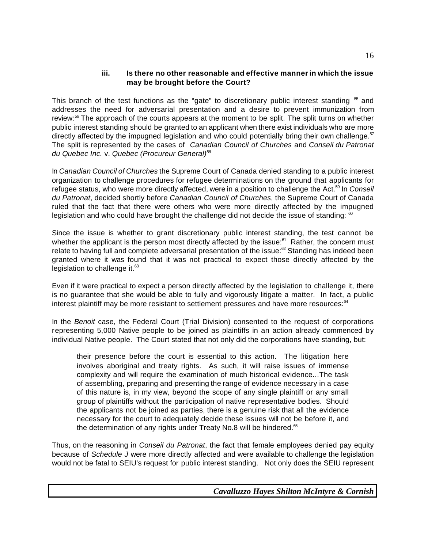### **iii. Is there no other reasonable and effective mannerin which the issue may be brought before the Court?**

This branch of the test functions as the "gate" to discretionary public interest standing  $55$  and addresses the need for adversarial presentation and a desire to prevent immunization from review:<sup>56</sup> The approach of the courts appears at the moment to be split. The split turns on whether public interest standing should be granted to an applicant when there exist individuals who are more directly affected by the impugned legislation and who could potentially bring their own challenge.<sup>57</sup> The split is represented by the cases of *Canadian Council of Churches* and *Conseil du Patronat du Quebec Inc.* v. *Quebec (Procureur General)<sup>58</sup>*

In *Canadian Council of Churches* the Supreme Court of Canada denied standing to a public interest organization to challenge procedures for refugee determinations on the ground that applicants for refugee status, who were more directly affected, were in a position to challenge the Act.<sup>59</sup> In *Conseil du Patronat*, decided shortly before *Canadian Council of Churches*, the Supreme Court of Canada ruled that the fact that there were others who were more directly affected by the impugned legislation and who could have brought the challenge did not decide the issue of standing:  $^{\circ\circ}$ 

Since the issue is whether to grant discretionary public interest standing, the test cannot be whether the applicant is the person most directly affected by the issue:<sup>61</sup> Rather, the concern must relate to having full and complete adversarial presentation of the issue: $62$  Standing has indeed been granted where it was found that it was not practical to expect those directly affected by the legislation to challenge it. $63$ 

Even if it were practical to expect a person directly affected by the legislation to challenge it, there is no guarantee that she would be able to fully and vigorously litigate a matter. In fact, a public interest plaintiff may be more resistant to settlement pressures and have more resources: $64$ 

In the *Benoit* case, the Federal Court (Trial Division) consented to the request of corporations representing 5,000 Native people to be joined as plaintiffs in an action already commenced by individual Native people. The Court stated that not only did the corporations have standing, but:

their presence before the court is essential to this action. The litigation here involves aboriginal and treaty rights. As such, it will raise issues of immense complexity and will require the examination of much historical evidence...The task of assembling, preparing and presenting the range of evidence necessary in a case of this nature is, in my view, beyond the scope of any single plaintiff or any small group of plaintiffs without the participation of native representative bodies. Should the applicants not be joined as parties, there is a genuine risk that all the evidence necessary for the court to adequately decide these issues will not be before it, and the determination of any rights under Treaty No.8 will be hindered. $65$ 

Thus, on the reasoning in *Conseil du Patronat*, the fact that female employees denied pay equity because of *Schedule J* were more directly affected and were available to challenge the legislation would not be fatal to SEIU's request for public interest standing. Not only does the SEIU represent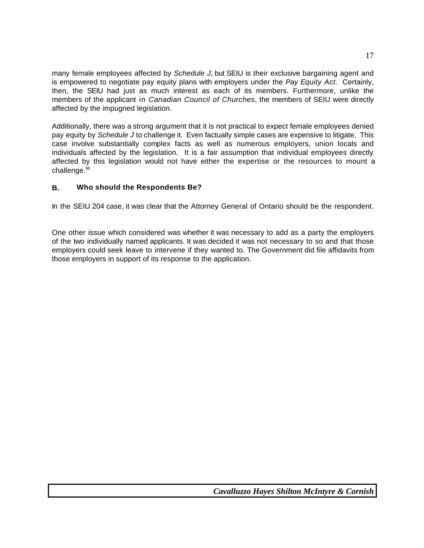many female employees affected by *Schedule J*, but SEIU is their exclusive bargaining agent and is empowered to negotiate pay equity plans with employers under the *Pay Equity Act*. Certainly, then, the SEIU had just as much interest as each of its members. Furthermore, unlike the members of the applicant in *Canadian Council of Churches*, the members of SEIU were directly affected by the impugned legislation.

Additionally, there was a strong argument that it is not practical to expect female employees denied pay equity by *Schedule J* to challenge it. Even factually simple cases are expensive to litigate. This case involve substantially complex facts as well as numerous employers, union locals and individuals affected by the legislation. It is a fair assumption that individual employees directly affected by this legislation would not have either the expertise or the resources to mount a challenge.<sup>66</sup>

### **B. Who should the Respondents Be?**

In the SEIU 204 case, it was clear that the Attorney General of Ontario should be the respondent.

One other issue which considered was whether it was necessary to add as a party the employers of the two individually named applicants. It was decided it was not necessary to so and that those employers could seek leave to intervene if they wanted to. The Government did file affidavits from those employers in support of its response to the application.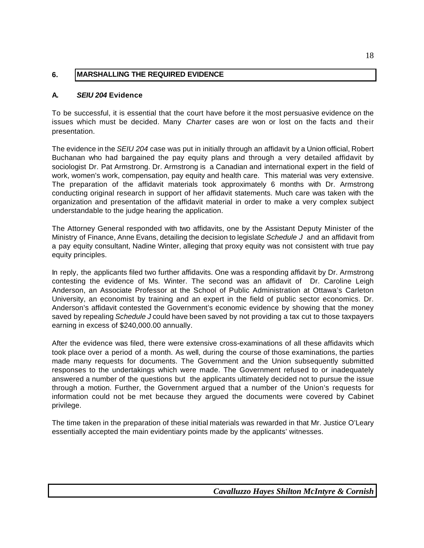### **6. MARSHALLING THE REQUIRED EVIDENCE**

### **A.** *SEIU 204* **Evidence**

To be successful, it is essential that the court have before it the most persuasive evidence on the issues which must be decided. Many *Charter* cases are won or lost on the facts and their presentation.

The evidence in the *SEIU 204* case was put in initially through an affidavit by a Union official, Robert Buchanan who had bargained the pay equity plans and through a very detailed affidavit by sociologist Dr. Pat Armstrong. Dr. Armstrong is a Canadian and international expert in the field of work, women's work, compensation, pay equity and health care. This material was very extensive. The preparation of the affidavit materials took approximately 6 months with Dr. Armstrong conducting original research in support of her affidavit statements. Much care was taken with the organization and presentation of the affidavit material in order to make a very complex subject understandable to the judge hearing the application.

The Attorney General responded with two affidavits, one by the Assistant Deputy Minister of the Ministry of Finance, Anne Evans, detailing the decision to legislate *Schedule J* and an affidavit from a pay equity consultant, Nadine Winter, alleging that proxy equity was not consistent with true pay equity principles.

In reply, the applicants filed two further affidavits. One was a responding affidavit by Dr. Armstrong contesting the evidence of Ms. Winter. The second was an affidavit of Dr. Caroline Leigh Anderson, an Associate Professor at the School of Public Administration at Ottawa's Carleton University, an economist by training and an expert in the field of public sector economics. Dr. Anderson's affidavit contested the Government's economic evidence by showing that the money saved by repealing *Schedule J* could have been saved by not providing a tax cut to those taxpayers earning in excess of \$240,000.00 annually.

After the evidence was filed, there were extensive cross-examinations of all these affidavits which took place over a period of a month. As well, during the course of those examinations, the parties made many requests for documents. The Government and the Union subsequently submitted responses to the undertakings which were made. The Government refused to or inadequately answered a number of the questions but the applicants ultimately decided not to pursue the issue through a motion. Further, the Government argued that a number of the Union's requests for information could not be met because they argued the documents were covered by Cabinet privilege.

The time taken in the preparation of these initial materials was rewarded in that Mr. Justice O'Leary essentially accepted the main evidentiary points made by the applicants' witnesses.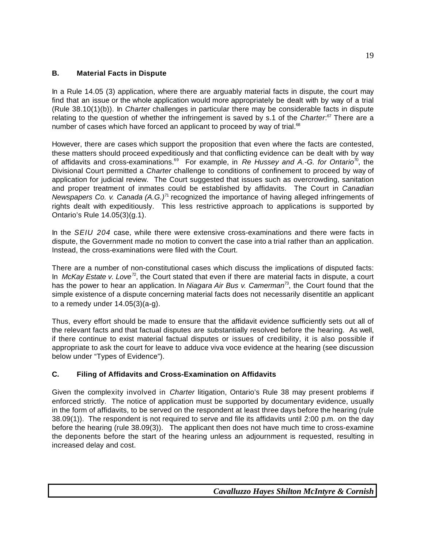### **B. Material Facts in Dispute**

In a Rule 14.05 (3) application, where there are arguably material facts in dispute, the court may find that an issue or the whole application would more appropriately be dealt with by way of a trial (Rule 38.10(1)(b)). In *Charter* challenges in particular there may be considerable facts in dispute relating to the question of whether the infringement is saved by s.1 of the *Charter*: <sup>67</sup> There are a number of cases which have forced an applicant to proceed by way of trial. $68$ 

However, there are cases which support the proposition that even where the facts are contested, these matters should proceed expeditiously and that conflicting evidence can be dealt with by way of affidavits and cross-examinations.<sup>69</sup> For example, in *Re Hussey and A.-G. for Ontario*<sup>70</sup> , the Divisional Court permitted a *Charter* challenge to conditions of confinement to proceed by way of application for judicial review. The Court suggested that issues such as overcrowding, sanitation and proper treatment of inmates could be established by affidavits. The Court in *Canadian Newspapers Co. v. Canada (A.G.)*<sup>71</sup> recognized the importance of having alleged infringements of rights dealt with expeditiously. This less restrictive approach to applications is supported by Ontario's Rule 14.05(3)(g.1).

In the *SEIU 204* case, while there were extensive cross-examinations and there were facts in dispute, the Government made no motion to convert the case into a trial rather than an application. Instead, the cross-examinations were filed with the Court.

There are a number of non-constitutional cases which discuss the implications of disputed facts: In *McKay Estate v. Love*<sup>72</sup>, the Court stated that even if there are material facts in dispute, a court has the power to hear an application. In *Niagara Air Bus v. Camerman*<sup>73</sup> , the Court found that the simple existence of a dispute concerning material facts does not necessarily disentitle an applicant to a remedy under 14.05(3)(a-g).

Thus, every effort should be made to ensure that the affidavit evidence sufficiently sets out all of the relevant facts and that factual disputes are substantially resolved before the hearing. As well, if there continue to exist material factual disputes or issues of credibility, it is also possible if appropriate to ask the court for leave to adduce viva voce evidence at the hearing (see discussion below under "Types of Evidence").

### **C. Filing of Affidavits and Cross-Examination on Affidavits**

Given the complexity involved in *Charter* litigation, Ontario's Rule 38 may present problems if enforced strictly. The notice of application must be supported by documentary evidence, usually in the form of affidavits, to be served on the respondent at least three days before the hearing (rule 38.09(1)). The respondent is not required to serve and file its affidavits until 2:00 p.m. on the day before the hearing (rule 38.09(3)). The applicant then does not have much time to cross-examine the deponents before the start of the hearing unless an adjournment is requested, resulting in increased delay and cost.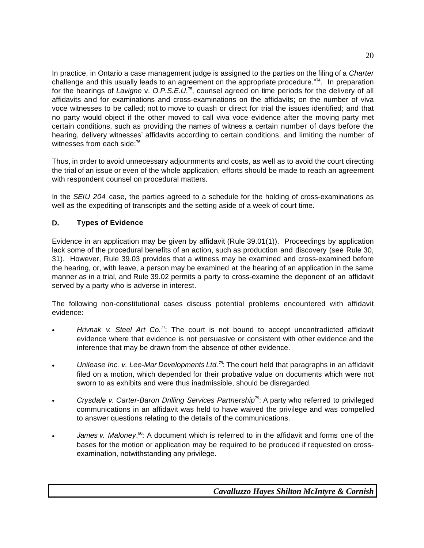In practice, in Ontario a case management judge is assigned to the parties on the filing of a *Charter* challenge and this usually leads to an agreement on the appropriate procedure."<sup>74</sup>. In preparation for the hearings of *Lavigne* v. *O.P.S.E.U*. 75 , counsel agreed on time periods for the delivery of all affidavits and for examinations and cross-examinations on the affidavits; on the number of viva voce witnesses to be called; not to move to quash or direct for trial the issues identified; and that no party would object if the other moved to call viva voce evidence after the moving party met certain conditions, such as providing the names of witness a certain number of days before the hearing, delivery witnesses' affidavits according to certain conditions, and limiting the number of witnesses from each side:<sup>76</sup>

Thus, in order to avoid unnecessary adjournments and costs, as well as to avoid the court directing the trial of an issue or even of the whole application, efforts should be made to reach an agreement with respondent counsel on procedural matters.

In the *SEIU 204* case, the parties agreed to a schedule for the holding of cross-examinations as well as the expediting of transcripts and the setting aside of a week of court time.

### **D. Types of Evidence**

Evidence in an application may be given by affidavit (Rule 39.01(1)). Proceedings by application lack some of the procedural benefits of an action, such as production and discovery (see Rule 30, 31). However, Rule 39.03 provides that a witness may be examined and cross-examined before the hearing, or, with leave, a person may be examined at the hearing of an application in the same manner as in a trial, and Rule 39.02 permits a party to cross-examine the deponent of an affidavit served by a party who is adverse in interest.

The following non-constitutional cases discuss potential problems encountered with affidavit evidence:

- C *Hrivnak v. Steel Art Co.*<sup>77</sup>: The court is not bound to accept uncontradicted affidavit evidence where that evidence is not persuasive or consistent with other evidence and the inference that may be drawn from the absence of other evidence.
- *Unilease Inc. v. Lee-Mar Developments Ltd.*<sup>78</sup>: The court held that paragraphs in an affidavit filed on a motion, which depended for their probative value on documents which were not sworn to as exhibits and were thus inadmissible, should be disregarded.
- C *Crysdale v. Carter-Baron Drilling Services Partnership*<sup>79</sup>: A party who referred to privileged communications in an affidavit was held to have waived the privilege and was compelled to answer questions relating to the details of the communications.
- James v. Maloney,<sup>80</sup>: A document which is referred to in the affidavit and forms one of the bases for the motion or application may be required to be produced if requested on crossexamination, notwithstanding any privilege.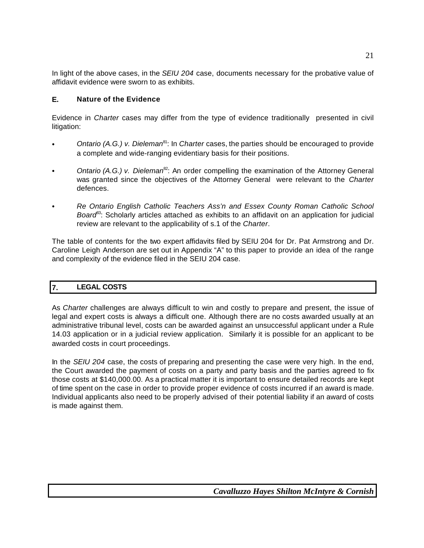In light of the above cases, in the *SEIU 204* case, documents necessary for the probative value of affidavit evidence were sworn to as exhibits.

### **E. Nature of the Evidence**

Evidence in *Charter* cases may differ from the type of evidence traditionally presented in civil litigation:

- C *Ontario (A.G.) v. Dieleman*<sup>81</sup>: In *Charter* cases, the parties should be encouraged to provide a complete and wide-ranging evidentiary basis for their positions.
- Ontario (A.G.) v. Dieleman<sup>82</sup>: An order compelling the examination of the Attorney General was granted since the objectives of the Attorney General were relevant to the *Charter* defences.
- C *Re Ontario English Catholic Teachers Ass'n and Essex County Roman Catholic School Board*<sup>83</sup>: Scholarly articles attached as exhibits to an affidavit on an application for judicial review are relevant to the applicability of s.1 of the *Charter*.

The table of contents for the two expert affidavits filed by SEIU 204 for Dr. Pat Armstrong and Dr. Caroline Leigh Anderson are set out in Appendix "A" to this paper to provide an idea of the range and complexity of the evidence filed in the SEIU 204 case.

### **7. LEGAL COSTS**

As *Charter* challenges are always difficult to win and costly to prepare and present, the issue of legal and expert costs is always a difficult one. Although there are no costs awarded usually at an administrative tribunal level, costs can be awarded against an unsuccessful applicant under a Rule 14.03 application or in a judicial review application. Similarly it is possible for an applicant to be awarded costs in court proceedings.

In the *SEIU 204* case, the costs of preparing and presenting the case were very high. In the end, the Court awarded the payment of costs on a party and party basis and the parties agreed to fix those costs at \$140,000.00. As a practical matter it is important to ensure detailed records are kept of time spent on the case in order to provide proper evidence of costs incurred if an award is made. Individual applicants also need to be properly advised of their potential liability if an award of costs is made against them.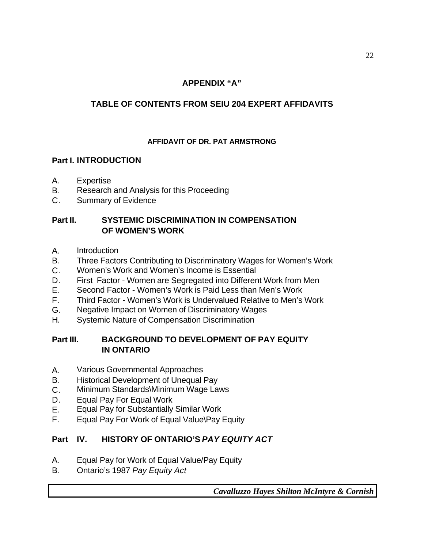## **APPENDIX "A"**

## **TABLE OF CONTENTS FROM SEIU 204 EXPERT AFFIDAVITS**

## **AFFIDAVIT OF DR. PAT ARMSTRONG**

## **Part I. INTRODUCTION**

- A. Expertise
- B. Research and Analysis for this Proceeding
- C. Summary of Evidence

## **Part II. SYSTEMIC DISCRIMINATION IN COMPENSATION OF WOMEN'S WORK**

- A. Introduction
- B. Three Factors Contributing to Discriminatory Wages for Women's Work
- C. Women's Work and Women's Income is Essential
- D. First Factor Women are Segregated into Different Work from Men
- E. Second Factor Women's Work is Paid Less than Men's Work
- F. Third Factor Women's Work is Undervalued Relative to Men's Work
- G. Negative Impact on Women of Discriminatory Wages
- H. Systemic Nature of Compensation Discrimination

## **Part III. BACKGROUND TO DEVELOPMENT OF PAY EQUITY IN ONTARIO**

- A. Various Governmental Approaches
- B. Historical Development of Unequal Pay
- C. Minimum Standards\Minimum Wage Laws
- D. Equal Pay For Equal Work
- E. Equal Pay for Substantially Similar Work
- F. Equal Pay For Work of Equal Value\Pay Equity

## **Part IV. HISTORY OF ONTARIO'S** *PAY EQUITY ACT*

- A. Equal Pay for Work of Equal Value/Pay Equity
- B. Ontario's 1987 *Pay Equity Act*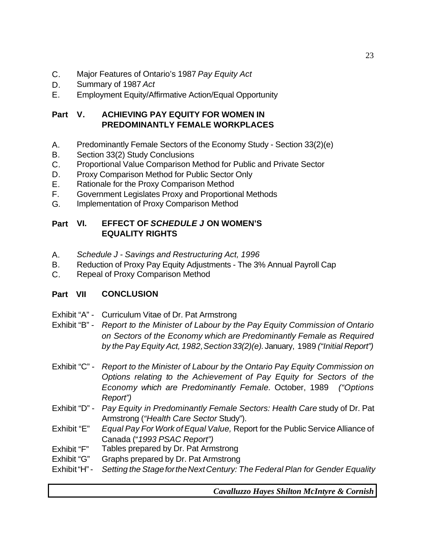- C. Major Features of Ontario's 1987 *Pay Equity Act*
- D. Summary of 1987 *Act*
- E. Employment Equity/Affirmative Action/Equal Opportunity

## **Part V. ACHIEVING PAY EQUITY FOR WOMEN IN PREDOMINANTLY FEMALE WORKPLACES**

- A. Predominantly Female Sectors of the Economy Study Section 33(2)(e)
- B. Section 33(2) Study Conclusions
- C. Proportional Value Comparison Method for Public and Private Sector
- D. Proxy Comparison Method for Public Sector Only
- E. Rationale for the Proxy Comparison Method
- F. Government Legislates Proxy and Proportional Methods
- G. Implementation of Proxy Comparison Method

## **Part VI. EFFECT OF** *SCHEDULE J* **ON WOMEN'S EQUALITY RIGHTS**

- A. *Schedule J Savings and Restructuring Act, 1996*
- B. Reduction of Proxy Pay Equity Adjustments The 3% Annual Payroll Cap
- C. Repeal of Proxy Comparison Method

## **Part VII CONCLUSION**

- Exhibit "A" Curriculum Vitae of Dr. Pat Armstrong
- Exhibit "B" *Report to the Minister of Labour by the Pay Equity Commission of Ontario on Sectors of the Economy which are Predominantly Female as Required by the Pay Equity Act, 1982,Section33(2)(e).*January, 1989 *("Initial Report")*
- Exhibit "C" *Report to the Minister of Labour by the Ontario Pay Equity Commission on Options relating to the Achievement of Pay Equity for Sectors of the Economy which are Predominantly Female.* October, 1989 *("Options Report")*
- Exhibit "D" *Pay Equity in Predominantly Female Sectors: Health Care* study of Dr. Pat Armstrong (*"Health Care Sector* Study").
- Exhibit "E" *Equal Pay For Work ofEqual Value,* Report for the Public Service Alliance of Canada ("*1993 PSAC Report")*
- Exhibit "F" Tables prepared by Dr. Pat Armstrong
- Exhibit "G" Graphs prepared by Dr. Pat Armstrong
- Exhibit"H"- *Setting the StagefortheNextCentury: The Federal Plan for Gender Equality*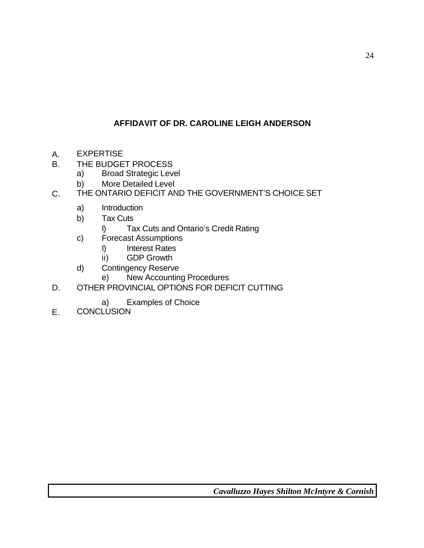## **AFFIDAVIT OF DR. CAROLINE LEIGH ANDERSON**

- A. EXPERTISE
- B. THE BUDGET PROCESS
	- a) Broad Strategic Level
	- b) More Detailed Level
- C. THE ONTARIO DEFICIT AND THE GOVERNMENT'S CHOICE SET
	- a) Introduction
	- b) Tax Cuts
		- I) Tax Cuts and Ontario's Credit Rating
	- c) Forecast Assumptions
		- I) Interest Rates
		- ii) GDP Growth
	- d) Contingency Reserve
		- e) New Accounting Procedures
- D. OTHER PROVINCIAL OPTIONS FOR DEFICIT CUTTING
	- a) Examples of Choice
- E. CONCLUSION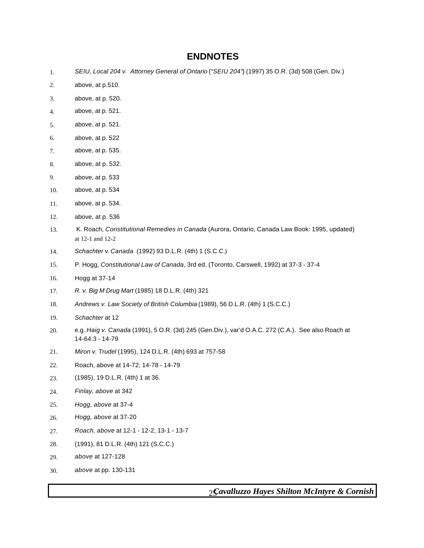## **ENDNOTES**

- 1. *SEIU, Local 204 v. Attorney General of Ontario* (*"SEIU 204"*) (1997) 35 O.R. (3d) 508 (Gen. Div.)
- 2. above, at p.510.
- 3. above, at p. 520.
- 4. above, at p. 521.
- 5. above, at p. 521.
- 6. above, at p. 522
- 7. above, at p. 535.
- 8. above, at p. 532.
- 9. above, at p. 533
- 10. above, at p. 534
- 11. above, at p. 534.
- 12. above, at p. 536
- 13. K. Roach, *Constitutional Remedies in Canada* (Aurora, Ontario, Canada Law Book: 1995, updated) at 12-1 and 12-2
- 14. *Schachter* v. *Canada* (1992) 93 D.L.R. (4th) 1 (S.C.C.)
- 15. P. Hogg, *Constitutional Law of Canada*, 3rd ed. (Toronto, Carswell, 1992) at 37-3 37-4
- 16. Hogg at 37-14
- 17. *R. v. Big M Drug Mart* (1985) 18 D.L.R. (4th) 321
- 18. *Andrews v. Law Society of British Columbia* (1989), 56 D.L.R. (4th) 1 (S.C.C.)
- 19. *Schachter* at 12
- 20. e.g. *Haig v. Canada* (1991), 5 O.R. (3d) 245 (Gen.Div.), var'd O.A.C. 272 (C.A.). See also Roach at 14-64.3 - 14-79
- 21. *Miron v. Trudel* (1995), 124 D.L.R. (4th) 693 at 757-58
- 22. Roach, above at 14-72; 14-78 14-79
- 23. (1985), 19 D.L.R. (4th) 1 at 36.
- 24. *Finlay, above* at 342
- 25. *Hogg, above* at 37-4
- 26. *Hogg, above* at 37-20
- 27. *Roach, above* at 12-1 12-2, 13-1 13-7
- 28. (1991), 81 D.L.R. (4th) 121 (S.C.C.)
- 29. *above* at 127-128
- 30. *above* at pp. 130-131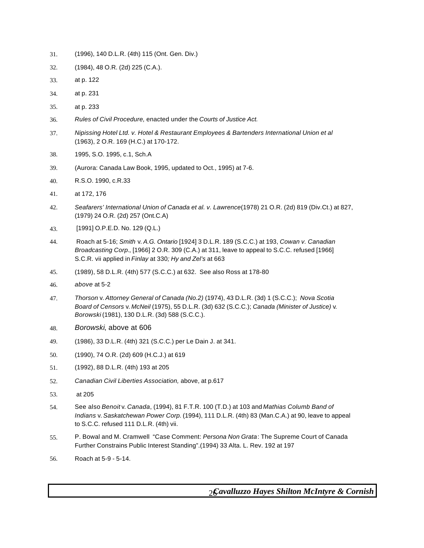- 31. (1996), 140 D.L.R. (4th) 115 (Ont. Gen. Div.)
- 32. (1984), 48 O.R. (2d) 225 (C.A.).
- 33. at p. 122
- 34. at p. 231
- 35. at p. 233
- 36. *Rules of Civil Procedure,* enacted under the *Courts of Justice Act.*
- 37. *Nipissing Hotel Ltd. v. Hotel & Restaurant Employees & Bartenders International Union et al* (1963), 2 O.R. 169 (H.C.) at 170-172.
- 38. 1995, S.O. 1995, c.1, Sch.A
- 39. (Aurora: Canada Law Book, 1995, updated to Oct., 1995) at 7-6.
- 40. R.S.O. 1990, c.R.33
- 41. at 172, 176
- 42. *Seafarers' International Union of Canada et al. v. Lawrence*(1978) 21 O.R. (2d) 819 (Div.Ct.) at 827, (1979) 24 O.R. (2d) 257 (Ont.C.A)
- 43. [1991] O.P.E.D. No. 129 (Q.L.)
- 44. Roach at 5-16; *Smith* v. *A.G. Ontario* [1924] 3 D.L.R. 189 (S.C.C.) at 193, *Cowan v. Canadian Broadcasting Corp.*, [1966] 2 O.R. 309 (C.A.) at 311, leave to appeal to S.C.C. refused [1966] S.C.R. vii applied in *Finlay* at 330*; Hy and Zel's* at 663
- 45. (1989), 58 D.L.R. (4th) 577 (S.C.C.) at 632. See also Ross at 178-80
- 46. *above* at 5-2
- 47. *Thorson* v. *Attorney General of Canada (No.2)* (1974), 43 D.L.R. (3d) 1 (S.C.C.); *Nova Scotia Board of Censors* v. *McNeil* (1975), 55 D.L.R. (3d) 632 (S.C.C.); *Canada (Minister of Justice)* v. *Borowski* (1981), 130 D.L.R. (3d) 588 (S.C.C.).
- 48. *Borowski*, above at 606
- 49. (1986), 33 D.L.R. (4th) 321 (S.C.C.) per Le Dain J. at 341.
- 50. (1990), 74 O.R. (2d) 609 (H.C.J.) at 619
- 51. (1992), 88 D.L.R. (4th) 193 at 205
- 52. *Canadian Civil Liberties Association,* above, at p.617
- 53. at 205
- 54. See also *Benoit* v. *Canada*, (1994), 81 F.T.R. 100 (T.D.) at 103 and *Mathias Columb Band of Indians* v. *Saskatchewan Power Corp.* (1994), 111 D.L.R. (4th) 83 (Man.C.A.) at 90, leave to appeal to S.C.C. refused 111 D.L.R. (4th) vii.
- 55. P. Bowal and M. Cramwell "Case Comment: *Persona Non Grata*: The Supreme Court of Canada Further Constrains Public Interest Standing".(1994) 33 Alta. L. Rev. 192 at 197
- 56. Roach at 5-9 5-14.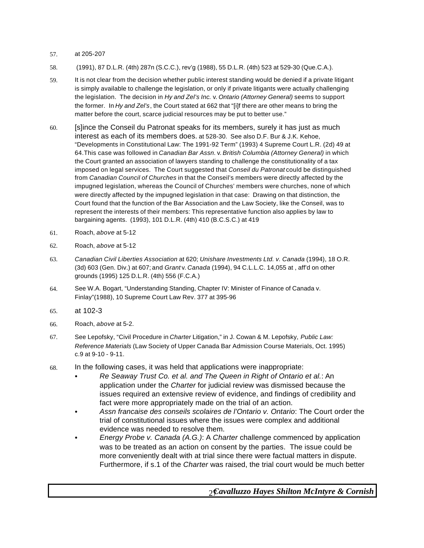#### 57. at 205-207

- 58. (1991), 87 D.L.R. (4th) 287n (S.C.C.), rev'g (1988), 55 D.L.R. (4th) 523 at 529-30 (Que.C.A.).
- 59. It is not clear from the decision whether public interest standing would be denied if a private litigant is simply available to challenge the legislation, or only if private litigants were actually challenging the legislation. The decision in *Hy and Zel's Inc.* v. *Ontario (Attorney General)* seems to support the former. In *Hy and Zel's*, the Court stated at 662 that "[i]f there are other means to bring the matter before the court, scarce judicial resources may be put to better use."
- 60. [s]ince the Conseil du Patronat speaks for its members, surely it has just as much interest as each of its members does. at 528-30. See also D.F. Bur & J.K. Kehoe, "Developments in Constitutional Law: The 1991-92 Term" (1993) 4 Supreme Court L.R. (2d) 49 at 64.This case was followed in *Canadian Bar Assn.* v. *British Columbia (Attorney General)* in which the Court granted an association of lawyers standing to challenge the constitutionality of a tax imposed on legal services. The Court suggested that *Conseil du Patronat* could be distinguished from *Canadian Council of Churches* in that the Conseil's members were directly affected by the impugned legislation, whereas the Council of Churches' members were churches, none of which were directly affected by the impugned legislation in that case: Drawing on that distinction, the Court found that the function of the Bar Association and the Law Society, like the Conseil, was to represent the interests of their members: This representative function also applies by law to bargaining agents. (1993), 101 D.L.R. (4th) 410 (B.C.S.C.) at 419
- 61. Roach, *above* at 5-12
- 62. Roach, *above* at 5-12
- 63. *Canadian Civil Liberties Association* at 620; *Unishare Investments Ltd. v. Canada* (1994), 18 O.R. (3d) 603 (Gen. Div.) at 607; and *Grant* v. *Canada* (1994), 94 C.L.L.C. 14,055 at , aff'd on other grounds (1995) 125 D.L.R. (4th) 556 (F.C.A.)
- 64. See W.A. Bogart, "Understanding Standing, Chapter IV: Minister of Finance of Canada v. Finlay"(1988), 10 Supreme Court Law Rev. 377 at 395-96
- 65. at 102-3
- 66. Roach, *above* at 5-2.
- 67. See Lepofsky, "Civil Procedure in *Charter* Litigation," in J. Cowan & M. Lepofsky, *Public Law: Reference Materials* (Law Society of Upper Canada Bar Admission Course Materials, Oct. 1995) c.9 at 9-10 - 9-11.
- 68. In the following cases, it was held that applications were inappropriate:
	- Re Seaway Trust Co. et al. and The Queen in Right of Ontario et al.: An application under the *Charter* for judicial review was dismissed because the issues required an extensive review of evidence, and findings of credibility and fact were more appropriately made on the trial of an action.
	- C *Assn francaise des conseils scolaires de l'Ontario v. Ontario*: The Court order the trial of constitutional issues where the issues were complex and additional evidence was needed to resolve them.
	- C *Energy Probe v. Canada (A.G.)*: A *Charter* challenge commenced by application was to be treated as an action on consent by the parties. The issue could be more conveniently dealt with at trial since there were factual matters in dispute. Furthermore, if s.1 of the *Charter* was raised, the trial court would be much better